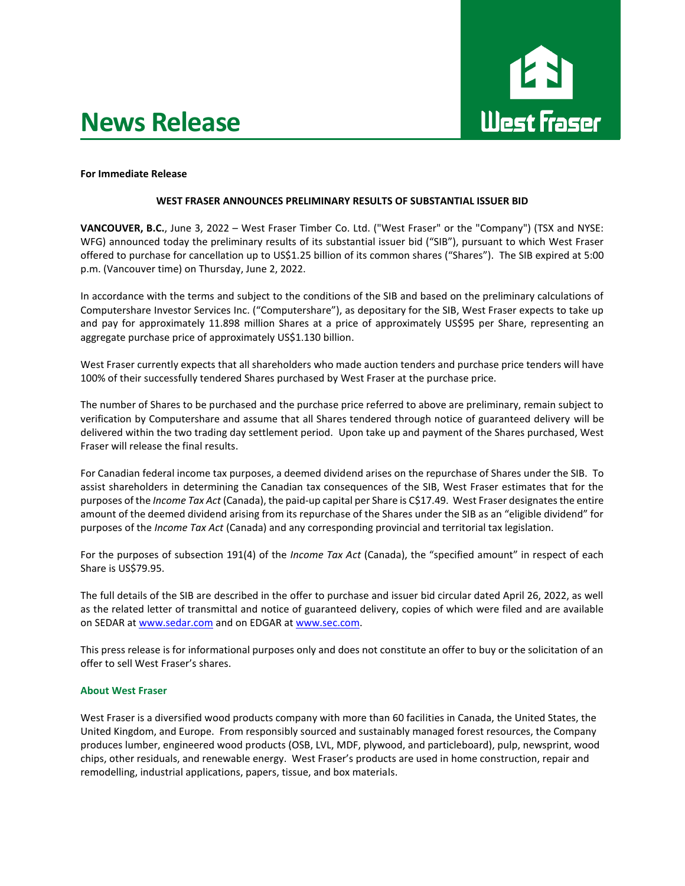# **News Release**



## **For Immediate Release**

# **WEST FRASER ANNOUNCES PRELIMINARY RESULTS OF SUBSTANTIAL ISSUER BID**

**VANCOUVER, B.C.**, June 3, 2022 – West Fraser Timber Co. Ltd. ("West Fraser" or the "Company") (TSX and NYSE: WFG) announced today the preliminary results of its substantial issuer bid ("SIB"), pursuant to which West Fraser offered to purchase for cancellation up to US\$1.25 billion of its common shares ("Shares"). The SIB expired at 5:00 p.m. (Vancouver time) on Thursday, June 2, 2022.

In accordance with the terms and subject to the conditions of the SIB and based on the preliminary calculations of Computershare Investor Services Inc. ("Computershare"), as depositary for the SIB, West Fraser expects to take up and pay for approximately 11.898 million Shares at a price of approximately US\$95 per Share, representing an aggregate purchase price of approximately US\$1.130 billion.

West Fraser currently expects that all shareholders who made auction tenders and purchase price tenders will have 100% of their successfully tendered Shares purchased by West Fraser at the purchase price.

The number of Shares to be purchased and the purchase price referred to above are preliminary, remain subject to verification by Computershare and assume that all Shares tendered through notice of guaranteed delivery will be delivered within the two trading day settlement period. Upon take up and payment of the Shares purchased, West Fraser will release the final results.

For Canadian federal income tax purposes, a deemed dividend arises on the repurchase of Shares under the SIB. To assist shareholders in determining the Canadian tax consequences of the SIB, West Fraser estimates that for the purposes of the *Income Tax Act* (Canada), the paid-up capital per Share is C\$17.49. West Fraser designates the entire amount of the deemed dividend arising from its repurchase of the Shares under the SIB as an "eligible dividend" for purposes of the *Income Tax Act* (Canada) and any corresponding provincial and territorial tax legislation.

For the purposes of subsection 191(4) of the *Income Tax Act* (Canada), the "specified amount" in respect of each Share is US\$79.95.

The full details of the SIB are described in the offer to purchase and issuer bid circular dated April 26, 2022, as well as the related letter of transmittal and notice of guaranteed delivery, copies of which were filed and are available on SEDAR a[t www.sedar.com](http://www.sedar.com/) and on EDGAR a[t www.sec.com.](http://www.sec.com/)

This press release is for informational purposes only and does not constitute an offer to buy or the solicitation of an offer to sell West Fraser's shares.

## **About West Fraser**

West Fraser is a diversified wood products company with more than 60 facilities in Canada, the United States, the United Kingdom, and Europe. From responsibly sourced and sustainably managed forest resources, the Company produces lumber, engineered wood products (OSB, LVL, MDF, plywood, and particleboard), pulp, newsprint, wood chips, other residuals, and renewable energy. West Fraser's products are used in home construction, repair and remodelling, industrial applications, papers, tissue, and box materials.